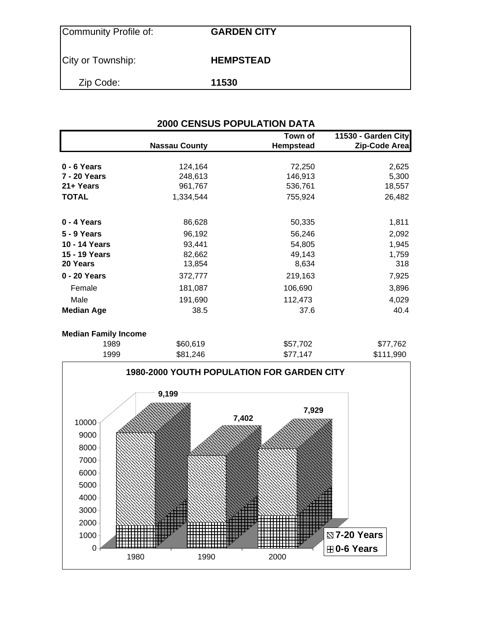| Community Profile of: | <b>GARDEN CITY</b> |
|-----------------------|--------------------|
| City or Township:     | <b>HEMPSTEAD</b>   |
| Zip Code:             | 11530              |

| <b>2000 CENSUS POPULATION DATA</b> |                      |                      |                                      |  |  |  |  |  |
|------------------------------------|----------------------|----------------------|--------------------------------------|--|--|--|--|--|
|                                    | <b>Nassau County</b> | Town of<br>Hempstead | 11530 - Garden City<br>Zip-Code Area |  |  |  |  |  |
| 0 - 6 Years                        | 124,164              | 72,250               | 2,625                                |  |  |  |  |  |
| 7 - 20 Years                       | 248,613              | 146,913              | 5,300                                |  |  |  |  |  |
| 21+ Years                          | 961,767              | 536,761              | 18,557                               |  |  |  |  |  |
| <b>TOTAL</b>                       | 1,334,544            | 755,924              | 26,482                               |  |  |  |  |  |
| 0 - 4 Years                        | 86,628               | 50,335               | 1,811                                |  |  |  |  |  |
| <b>5 - 9 Years</b>                 | 96,192               | 56,246               | 2,092                                |  |  |  |  |  |
| 10 - 14 Years                      | 93,441               | 54,805               | 1,945                                |  |  |  |  |  |
| 15 - 19 Years                      | 82,662               | 49,143               | 1,759                                |  |  |  |  |  |
| 20 Years                           | 13,854               | 8,634                | 318                                  |  |  |  |  |  |
| 0 - 20 Years                       | 372,777              | 219,163              | 7,925                                |  |  |  |  |  |
| Female                             | 181,087              | 106,690              | 3,896                                |  |  |  |  |  |
| Male                               | 191,690              | 112,473              | 4,029                                |  |  |  |  |  |
| <b>Median Age</b>                  | 38.5                 | 37.6                 | 40.4                                 |  |  |  |  |  |
|                                    |                      |                      |                                      |  |  |  |  |  |

#### **Median Family Income**

| 1989 | \$60,619 | \$57,702 | \$77,762  |
|------|----------|----------|-----------|
| 1999 | \$81,246 | \$77,147 | \$111,990 |

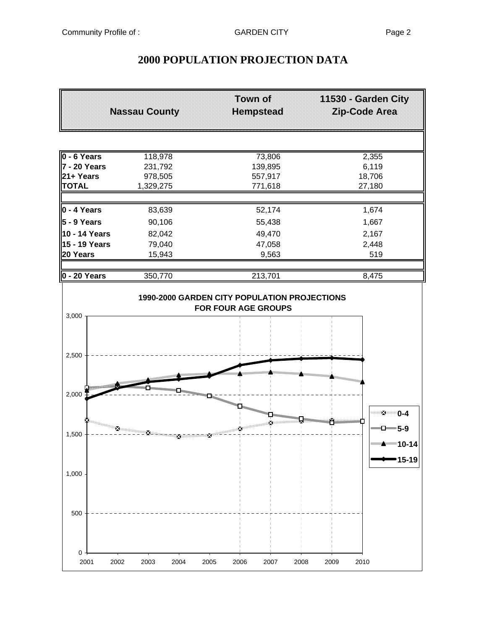# **2000 POPULATION PROJECTION DATA**

|                     | <b>Nassau County</b>                   | <b>Town of</b><br><b>Hempstead</b>                                  | 11530 - Garden City<br>Zip-Code Area |
|---------------------|----------------------------------------|---------------------------------------------------------------------|--------------------------------------|
|                     |                                        |                                                                     |                                      |
| 0 - 6 Years         | 118,978                                | 73,806                                                              | 2,355                                |
| 7 - 20 Years        | 231,792                                | 139,895                                                             | 6,119                                |
| 21+ Years           | 978,505                                | 557,917                                                             | 18,706                               |
| <b>TOTAL</b>        | 1,329,275                              | 771,618                                                             | 27,180                               |
| 0 - 4 Years         | 83,639                                 | 52,174                                                              | 1,674                                |
| $\vert$ 5 - 9 Years | 90,106                                 | 55,438                                                              | 1,667                                |
| 10 - 14 Years       | 82,042                                 | 49,470                                                              | 2,167                                |
| 15 - 19 Years       | 79,040                                 | 47,058                                                              | 2,448                                |
| 20 Years            | 15,943                                 | 9,563                                                               | 519                                  |
| 0 - 20 Years        | 350,770                                | 213,701                                                             | 8,475                                |
| 3,000               |                                        | 1990-2000 GARDEN CITY POPULATION PROJECTIONS<br>FOR FOUR AGE GROUPS |                                      |
| 2,500               |                                        |                                                                     |                                      |
|                     | <b>SHEER AND REAL PROPERTY AND</b><br> |                                                                     | n Maritim Maritim Street             |
| 2,000               |                                        |                                                                     | ™≥™ 0-4                              |
|                     |                                        |                                                                     | $-0 - 5-9$                           |
| 1,500               | Ķ                                      |                                                                     | <del>▒▒</del> ▲▒▒▒ 10-14             |
|                     |                                        |                                                                     | 15-19                                |
| 1,000               |                                        |                                                                     |                                      |
| 500                 |                                        |                                                                     |                                      |
| 0<br>2001           | 2002<br>2003<br>2004                   | 2006<br>2007<br>2008<br>2005                                        | 2009<br>2010                         |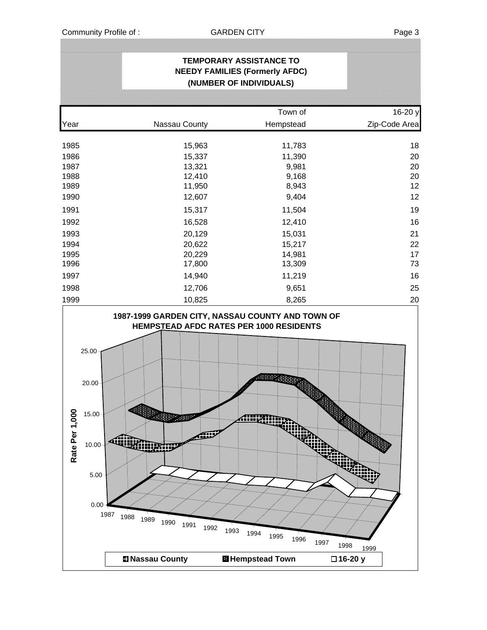IJ)

|                                                                                                              |                                                                                                                                                                                                        | <b>TEMPORARY ASSISTANCE TO</b><br><b>NEEDY FAMILIES (Formerly AFDC)</b><br>(NUMBER OF INDIVIDUALS)                                  |                                                                                  |
|--------------------------------------------------------------------------------------------------------------|--------------------------------------------------------------------------------------------------------------------------------------------------------------------------------------------------------|-------------------------------------------------------------------------------------------------------------------------------------|----------------------------------------------------------------------------------|
|                                                                                                              |                                                                                                                                                                                                        | Town of                                                                                                                             | 16-20 y                                                                          |
| Year                                                                                                         | Nassau County                                                                                                                                                                                          | Hempstead                                                                                                                           | Zip-Code Area                                                                    |
| 1985<br>1986<br>1987<br>1988<br>1989<br>1990<br>1991<br>1992<br>1993<br>1994<br>1995<br>1996<br>1997<br>1998 | 15,963<br>15,337<br>13,321<br>12,410<br>11,950<br>12,607<br>15,317<br>16,528<br>20,129<br>20,622<br>20,229<br>17,800<br>14,940<br>12,706                                                               | 11,783<br>11,390<br>9,981<br>9,168<br>8,943<br>9,404<br>11,504<br>12,410<br>15,031<br>15,217<br>14,981<br>13,309<br>11,219<br>9,651 | 18<br>20<br>20<br>20<br>12<br>12<br>19<br>16<br>21<br>22<br>17<br>73<br>16<br>25 |
| 1999<br>Rate Per 1,000                                                                                       | 10,825<br>1987-1999 GARDEN CITY, NASSAU COUNTY AND TOWN OF<br>25.00<br>20.00<br>15.00<br>لسي<br>ÆŰ<br>Alin<br><b>Ringhing</b><br>10.00<br>5.00<br>0.00<br>1987<br>1988<br>1989<br>1990<br>1991<br>1992 | 8,265<br>HEMPSTEAD AFDC RATES PER 1000 RESIDENTS<br>m r<br><b>Alliyanm</b><br>1993<br>1994<br>1995<br>1996<br>1997                  | 20<br>1998<br>1999                                                               |
|                                                                                                              | <b>DI Nassau County</b>                                                                                                                                                                                | <b>H</b> Hempstead Town                                                                                                             | □16-20 y                                                                         |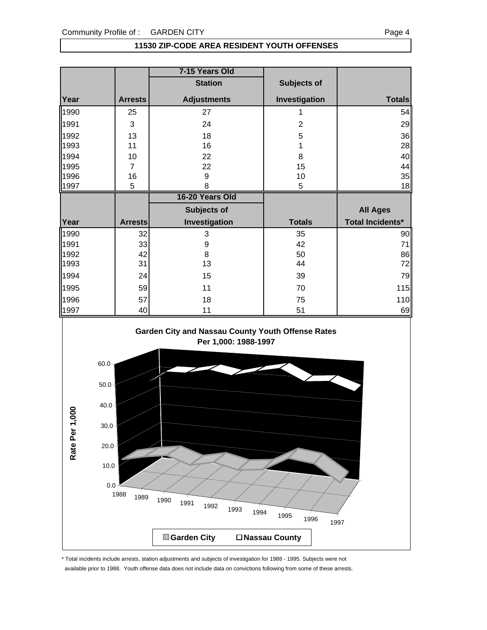#### **11530 ZIP-CODE AREA RESIDENT YOUTH OFFENSES**

|      |                | 7-15 Years Old     |                |                         |
|------|----------------|--------------------|----------------|-------------------------|
|      |                | <b>Station</b>     | Subjects of    |                         |
| Year | <b>Arrests</b> | <b>Adjustments</b> | Investigation  | <b>Totals</b>           |
| 1990 | 25             | 27                 | 1              | 54                      |
| 1991 | 3              | 24                 | $\overline{2}$ | 29                      |
| 1992 | 13             | 18                 | 5              | 36                      |
| 1993 | 11             | 16                 |                | 28                      |
| 1994 | 10             | 22                 | 8              | 40                      |
| 1995 | $\overline{7}$ | 22                 | 15             | 44                      |
| 1996 | 16             | 9                  | 10             | 35                      |
| 1997 | 5              | 8                  | 5              | 18                      |
|      |                |                    |                |                         |
|      |                | 16-20 Years Old    |                |                         |
|      |                | Subjects of        |                | <b>All Ages</b>         |
| Year | <b>Arrests</b> | Investigation      | <b>Totals</b>  | <b>Total Incidents*</b> |
| 1990 | 32             | 3                  | 35             | 90                      |
| 1991 | 33             | 9                  | 42             | 71                      |
| 1992 | 42             | 8                  | 50             | 86                      |
| 1993 | 31             | 13                 | 44             | 72                      |
| 1994 | 24             | 15                 | 39             | 79                      |
| 1995 | 59             | 11                 | 70             | 115                     |
| 1996 | 57             | 18                 | 75             | 110                     |



\* Total incidents include arrests, station adjustments and subjects of investigation for 1988 - 1995. Subjects were not available prior to 1988. Youth offense data does not include data on convictions following from some of these arrests.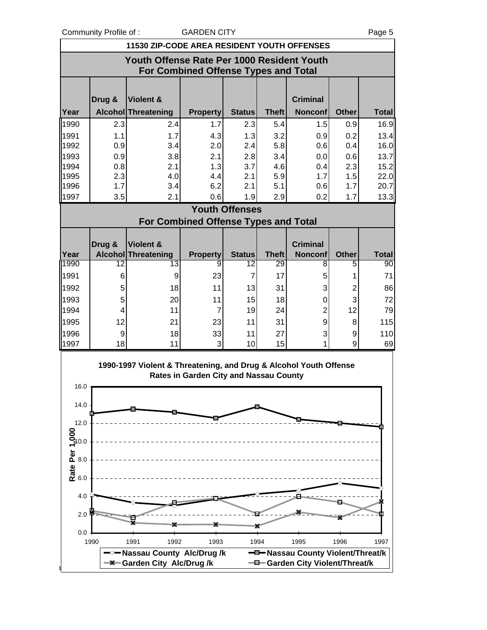Community Profile of : GARDEN CITY COMMUNITY Page 5

n City

|                  | 11530 ZIP-CODE AREA RESIDENT YOUTH OFFENSES |                                                                   |                                             |                       |              |                                   |              |              |  |
|------------------|---------------------------------------------|-------------------------------------------------------------------|---------------------------------------------|-----------------------|--------------|-----------------------------------|--------------|--------------|--|
|                  | Youth Offense Rate Per 1000 Resident Youth  |                                                                   |                                             |                       |              |                                   |              |              |  |
|                  |                                             |                                                                   | For Combined Offense Types and Total        |                       |              |                                   |              |              |  |
|                  |                                             |                                                                   |                                             |                       |              |                                   |              |              |  |
|                  | Drug &                                      | Violent &                                                         |                                             |                       |              | <b>Criminal</b>                   |              |              |  |
| Year             |                                             | Alcohol Threatening                                               | <b>Property</b>                             | <b>Status</b>         | <b>Theft</b> | <b>Nonconf</b>                    | <b>Other</b> | <b>Total</b> |  |
| 1990             | 2.3                                         | 2.4                                                               | 1.7                                         | 2.3                   | 5.4          | 1.5                               | 0.9          | 16.9         |  |
| 1991             | 1.1                                         | 1.7                                                               | 4.3                                         | 1.3                   | 3.2          | 0.9                               | 0.2          | 13.4         |  |
| 1992             | 0.9                                         | 3.4                                                               | 2.0                                         | 2.4                   | 5.8          | 0.6                               | 0.4          | 16.0         |  |
| 1993<br>1994     | 0.9<br>0.8                                  | 3.8<br>2.1                                                        | 2.1<br>1.3                                  | 2.8<br>3.7            | 3.4<br>4.6   | 0.0<br>0.4                        | 0.6<br>2.3   | 13.7<br>15.2 |  |
| 1995             | 2.3                                         | 4.0                                                               | 4.4                                         | 2.1                   | 5.9          | 1.7                               | 1.5          | 22.0         |  |
| 1996             | 1.7                                         | 3.4                                                               | 6.2                                         | 2.1                   | 5.1          | 0.6                               | 1.7          | 20.7         |  |
| 1997             | 3.5                                         | 2.1                                                               | 0.6                                         | 1.9                   | 2.9          | 0.2                               | 1.7          | 13.3         |  |
|                  |                                             |                                                                   |                                             | <b>Youth Offenses</b> |              |                                   |              |              |  |
|                  |                                             |                                                                   | <b>For Combined Offense Types and Total</b> |                       |              |                                   |              |              |  |
|                  | Drug &                                      | Violent &                                                         |                                             |                       |              | <b>Criminal</b>                   |              |              |  |
| Year             |                                             | Alcohol Threatening                                               | <b>Property</b>                             | <b>Status</b>         | <b>Theft</b> | <b>Nonconf</b>                    | <b>Other</b> | <b>Total</b> |  |
| 1990             | 12                                          | 13                                                                | 9                                           | 12                    | 29           | 8                                 | 5            | 90           |  |
| 1991             | 6                                           | 9                                                                 | 23                                          | $\overline{7}$        | 17           | 5                                 | 1            | 71           |  |
| 1992             | 5                                           | 18                                                                | 11                                          | 13                    | 31           | 3                                 | 2            | 86           |  |
| 1993             | 5                                           | 20                                                                | 11                                          | 15                    | 18           | 0                                 | 3            | 72           |  |
| 1994             | 4                                           | 11                                                                | $\overline{7}$                              | 19                    | 24           | $\overline{c}$                    | 12           | 79           |  |
| 1995             | 12                                          | 21                                                                | 23                                          | 11                    | 31           | 9                                 | 8            | 115          |  |
| 1996<br>1997     | $\boldsymbol{9}$<br>18                      | 18<br>11                                                          | 33<br>3                                     | 11<br>10              | 27<br>15     | 3                                 | 9<br>9       | 110<br>69    |  |
|                  |                                             |                                                                   |                                             |                       |              |                                   |              |              |  |
|                  |                                             | 1990-1997 Violent & Threatening, and Drug & Alcohol Youth Offense |                                             |                       |              |                                   |              |              |  |
| 16.0             |                                             |                                                                   | Rates in Garden City and Nassau County      |                       |              |                                   |              |              |  |
|                  |                                             |                                                                   |                                             |                       |              |                                   |              |              |  |
| 14.0             |                                             |                                                                   |                                             |                       |              |                                   |              |              |  |
| 12.0             |                                             |                                                                   |                                             |                       |              |                                   |              |              |  |
|                  |                                             |                                                                   |                                             |                       |              |                                   |              |              |  |
|                  |                                             |                                                                   |                                             |                       |              |                                   |              |              |  |
|                  |                                             |                                                                   |                                             |                       |              |                                   |              |              |  |
| Rate Per 1,000   |                                             |                                                                   |                                             |                       |              |                                   |              |              |  |
|                  |                                             |                                                                   |                                             |                       |              |                                   |              |              |  |
| 4.0              |                                             |                                                                   |                                             |                       |              |                                   |              |              |  |
| 2.0 <sup>2</sup> |                                             |                                                                   |                                             |                       |              |                                   |              |              |  |
|                  |                                             |                                                                   |                                             |                       |              |                                   |              |              |  |
| 0.0              | 1990                                        | 1992<br>1991                                                      | 1993                                        | 1994                  |              | 1995                              | 1996         | 1997         |  |
|                  |                                             | - <sup>∞</sup> Nassau County Alc/Drug /k                          |                                             |                       |              | -D-Nassau County Violent/Threat/k |              |              |  |
|                  |                                             | <b>-X-Garden City Alc/Drug/k</b>                                  |                                             |                       |              | - Garden City Violent/Threat/k    |              |              |  |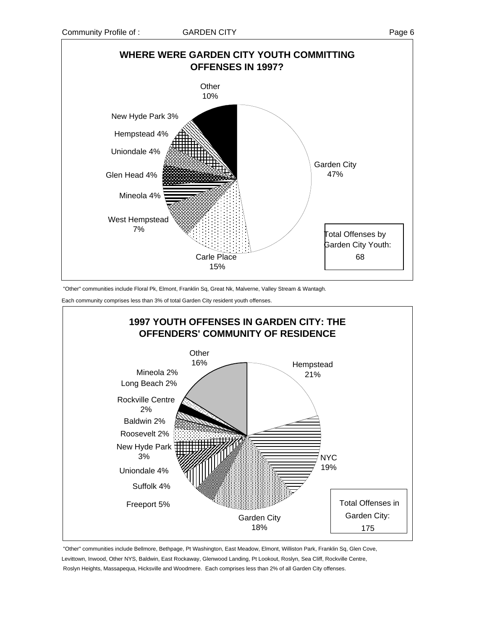

"Other" communities include Floral Pk, Elmont, Franklin Sq, Great Nk, Malverne, Valley Stream & Wantagh.

Each community comprises less than 3% of total Garden City resident youth offenses.



 "Other" communities include Bellmore, Bethpage, Pt Washington, East Meadow, Elmont, Williston Park, Franklin Sq, Glen Cove, Levittown, Inwood, Other NYS, Baldwin, East Rockaway, Glenwood Landing, Pt Lookout, Roslyn, Sea Cliff, Rockville Centre, Roslyn Heights, Massapequa, Hicksville and Woodmere. Each comprises less than 2% of all Garden City offenses.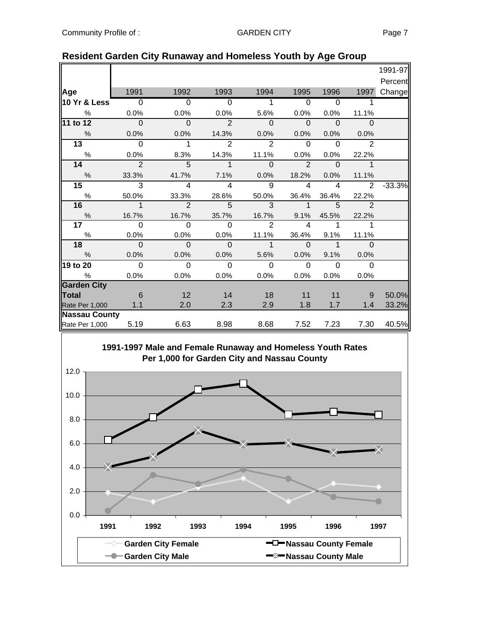|                      |                          |                         |                         |                |                |              |                          | 1991-97  |
|----------------------|--------------------------|-------------------------|-------------------------|----------------|----------------|--------------|--------------------------|----------|
|                      |                          |                         |                         |                |                |              |                          | Percent  |
| Age                  | 1991                     | 1992                    | 1993                    | 1994           | 1995           | 1996         | 1997                     | Change   |
| 10 Yr & Less         | $\overline{\phantom{0}}$ | $\overline{0}$          | $\overline{0}$          | 1              | $\overline{0}$ | $\Omega$     |                          |          |
| $\frac{0}{0}$        | 0.0%                     | 0.0%                    | 0.0%                    | 5.6%           | 0.0%           | 0.0%         | 11.1%                    |          |
| 11 to 12             | $\overline{\phantom{0}}$ | $\mathbf 0$             | $\overline{2}$          | $\mathbf{0}$   | $\Omega$       | $\Omega$     | $\Omega$                 |          |
| $\frac{0}{0}$        | 0.0%                     | 0.0%                    | 14.3%                   | 0.0%           | 0.0%           | 0.0%         | 0.0%                     |          |
| $\overline{13}$      | $\Omega$                 | $\mathbf{1}$            | 2                       | $\overline{2}$ | $\mathbf{0}$   | $\Omega$     | $\overline{2}$           |          |
| $\%$                 | 0.0%                     | 8.3%                    | 14.3%                   | 11.1%          | 0.0%           | 0.0%         | 22.2%                    |          |
| 14                   | $\overline{2}$           | 5                       | $\mathbf{1}$            | $\Omega$       | $\overline{2}$ | $\Omega$     | $\mathbf{1}$             |          |
| $\frac{0}{0}$        | 33.3%                    | 41.7%                   | 7.1%                    | 0.0%           | 18.2%          | 0.0%         | 11.1%                    |          |
| 15                   | $\overline{3}$           | 4                       | $\overline{\mathbf{4}}$ | 9              | $\overline{4}$ | 4            | 2                        | $-33.3%$ |
| %                    | 50.0%                    | 33.3%                   | 28.6%                   | 50.0%          | 36.4%          | 36.4%        | 22.2%                    |          |
| 16                   | $\overline{\phantom{a}}$ | $\overline{\mathbf{c}}$ | $\overline{5}$          | 3              | $\overline{1}$ | 5            | $\overline{\phantom{0}}$ |          |
| $\%$                 | 16.7%                    | 16.7%                   | 35.7%                   | 16.7%          | 9.1%           | 45.5%        | 22.2%                    |          |
| 17 <sub>1</sub>      | $\Omega$                 | $\Omega$                | $\overline{0}$          | 2              | 4              | 1            | 1                        |          |
| $\%$                 | 0.0%                     | 0.0%                    | 0.0%                    | 11.1%          | 36.4%          | 9.1%         | 11.1%                    |          |
| 18                   | $\overline{0}$           | $\Omega$                | $\Omega$                | $\mathbf{1}$   | $\Omega$       | $\mathbf{1}$ | $\Omega$                 |          |
| $\frac{0}{0}$        | 0.0%                     | 0.0%                    | 0.0%                    | 5.6%           | $0.0\%$        | 9.1%         | 0.0%                     |          |
| 19 to 20             | $\Omega$                 | $\mathbf 0$             | $\mathbf 0$             | $\mathbf 0$    | $\mathbf{0}$   | $\Omega$     | $\overline{0}$           |          |
| %                    | 0.0%                     | 0.0%                    | 0.0%                    | 0.0%           | 0.0%           | 0.0%         | 0.0%                     |          |
| <b>Garden City</b>   |                          |                         |                         |                |                |              |                          |          |
| <b>Total</b>         | 6                        | 12                      | 14                      | 18             | 11             | 11           | 9                        | 50.0%    |
| Rate Per 1,000       | 1.1                      | 2.0                     | 2.3                     | 2.9            | 1.8            | 1.7          | 1.4                      | 33.2%    |
| <b>Nassau County</b> |                          |                         |                         |                |                |              |                          |          |
| Rate Per 1,000       | 5.19                     | 6.63                    | 8.98                    | 8.68           | 7.52           | 7.23         | 7.30                     | 40.5%    |

#### **Resident Garden City Runaway and Homeless Youth by Age Group**

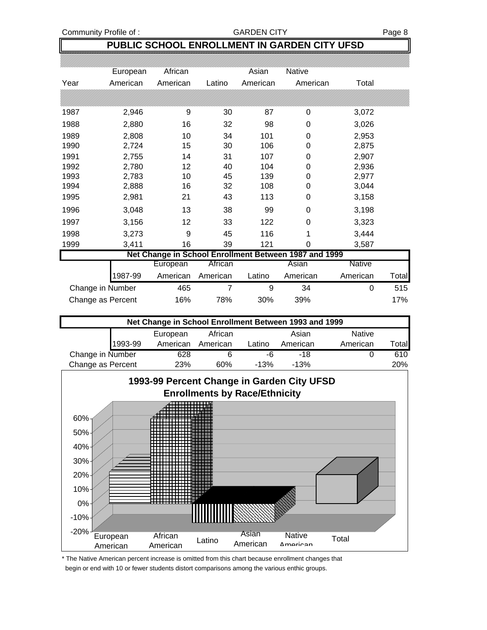Community Profile of : GARDEN CITY Fage 8

### **PUBLIC SCHOOL ENROLLMENT IN GARDEN CITY UFSD**

|      | European         | African  |          | Asian    | <b>Native</b>                                         |               |       |
|------|------------------|----------|----------|----------|-------------------------------------------------------|---------------|-------|
| Year | American         | American | Latino   | American | American                                              | Total         |       |
|      |                  |          |          |          |                                                       |               |       |
| 1987 | 2,946            | 9        | 30       | 87       | 0                                                     | 3,072         |       |
| 1988 | 2,880            | 16       | 32       | 98       | 0                                                     | 3,026         |       |
| 1989 | 2,808            | 10       | 34       | 101      | 0                                                     | 2,953         |       |
| 1990 | 2,724            | 15       | 30       | 106      | 0                                                     | 2,875         |       |
| 1991 | 2,755            | 14       | 31       | 107      | 0                                                     | 2,907         |       |
| 1992 | 2,780            | 12       | 40       | 104      | 0                                                     | 2,936         |       |
| 1993 | 2,783            | 10       | 45       | 139      | 0                                                     | 2,977         |       |
| 1994 | 2,888            | 16       | 32       | 108      | 0                                                     | 3,044         |       |
| 1995 | 2,981            | 21       | 43       | 113      | 0                                                     | 3,158         |       |
| 1996 | 3,048            | 13       | 38       | 99       | 0                                                     | 3,198         |       |
| 1997 | 3,156            | 12       | 33       | 122      | 0                                                     | 3,323         |       |
| 1998 | 3,273            | 9        | 45       | 116      | 1                                                     | 3,444         |       |
| 1999 | 3,411            | 16       | 39       | 121      | 0                                                     | 3,587         |       |
|      |                  |          |          |          | Net Change in School Enrollment Between 1987 and 1999 |               |       |
|      |                  | European | African  |          | Asian                                                 | <b>Native</b> |       |
|      | 1987-99          | American | American | Latino   | American                                              | American      | Total |
|      | Change in Number | 465      | 7        | 9        | 34                                                    | 0             | 515   |

| Net Change in School Enrollment Between 1993 and 1999 |         |          |          |        |          |               |              |
|-------------------------------------------------------|---------|----------|----------|--------|----------|---------------|--------------|
|                                                       |         | European | African  |        | Asian    | <b>Native</b> |              |
|                                                       | 1993-99 | American | American | Latino | American | American      | <b>Total</b> |
| Change in Number                                      |         | 628      |          | -6     | -18      |               | 610          |
| Change as Percent                                     |         | 23%      | 60%      | $-13%$ | $-13%$   |               | 20%          |

Change as Percent 16% 78% 30% 39% 17%



\* The Native American percent increase is omitted from this chart because enrollment changes that begin or end with 10 or fewer students distort comparisons among the various enthic groups.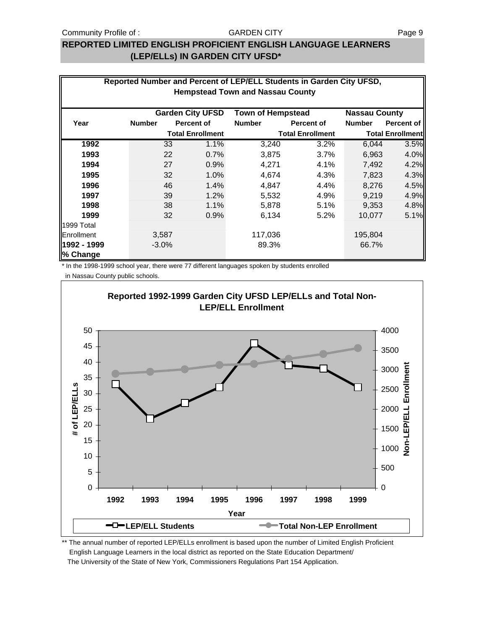#### Community Profile of : GARDEN CITY GARDEN CITY

#### **REPORTED LIMITED ENGLISH PROFICIENT ENGLISH LANGUAGE LEARNERS (LEP/ELLs) IN GARDEN CITY UFSD\***

| Reported Number and Percent of LEP/ELL Students in Garden City UFSD,<br><b>Hempstead Town and Nassau County</b> |               |                         |                          |                         |                      |                         |  |  |  |
|-----------------------------------------------------------------------------------------------------------------|---------------|-------------------------|--------------------------|-------------------------|----------------------|-------------------------|--|--|--|
|                                                                                                                 |               | <b>Garden City UFSD</b> | <b>Town of Hempstead</b> |                         | <b>Nassau County</b> |                         |  |  |  |
| Year                                                                                                            | <b>Number</b> | <b>Percent of</b>       | <b>Number</b>            | Percent of              | <b>Number</b>        | Percent of              |  |  |  |
|                                                                                                                 |               | <b>Total Enrollment</b> |                          | <b>Total Enrollment</b> |                      | <b>Total Enrollment</b> |  |  |  |
| 1992                                                                                                            | 33            | 1.1%                    | 3,240                    | 3.2%                    | 6,044                | 3.5%                    |  |  |  |
| 1993                                                                                                            | 22            | 0.7%                    | 3,875                    | 3.7%                    | 6,963                | 4.0%                    |  |  |  |
| 1994                                                                                                            | 27            | 0.9%                    | 4,271                    | 4.1%                    | 7,492                | 4.2%                    |  |  |  |
| 1995                                                                                                            | 32            | 1.0%                    | 4,674                    | 4.3%                    | 7,823                | 4.3%                    |  |  |  |
| 1996                                                                                                            | 46            | 1.4%                    | 4,847                    | 4.4%                    | 8,276                | 4.5%                    |  |  |  |
| 1997                                                                                                            | 39            | 1.2%                    | 5,532                    | 4.9%                    | 9,219                | 4.9%                    |  |  |  |
| 1998                                                                                                            | 38            | 1.1%                    | 5,878                    | 5.1%                    | 9,353                | 4.8%                    |  |  |  |
| 1999                                                                                                            | 32            | 0.9%                    | 6,134                    | 5.2%                    | 10,077               | 5.1%                    |  |  |  |
| 1999 Total                                                                                                      |               |                         |                          |                         |                      |                         |  |  |  |
| <b>Enrollment</b>                                                                                               | 3,587         |                         | 117,036                  |                         | 195,804              |                         |  |  |  |
| 1992 - 1999<br>% Change                                                                                         | $-3.0%$       |                         | 89.3%                    |                         | 66.7%                |                         |  |  |  |

\* In the 1998-1999 school year, there were 77 different languages spoken by students enrolled

in Nassau County public schools.



\*\* The annual number of reported LEP/ELLs enrollment is based upon the number of Limited English Proficient English Language Learners in the local district as reported on the State Education Department/ The University of the State of New York, Commissioners Regulations Part 154 Application.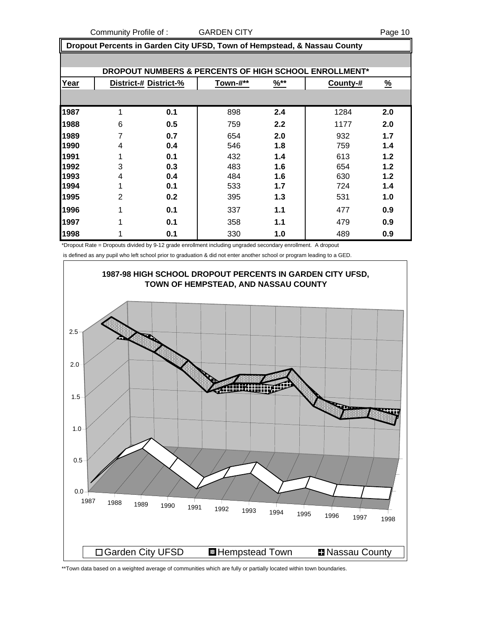Community Profile of : GARDEN CITY **COMMUNISTS** Page 10

 **Dropout Percents in Garden City UFSD, Town of Hempstead, & Nassau County**

|      | DROPOUT NUMBERS & PERCENTS OF HIGH SCHOOL ENROLLMENT* |                       |          |                  |          |          |  |  |  |  |  |
|------|-------------------------------------------------------|-----------------------|----------|------------------|----------|----------|--|--|--|--|--|
| Year |                                                       | District-# District-% | Town-#** | $\frac{9}{6}$ ** | County-# | <u>%</u> |  |  |  |  |  |
|      |                                                       |                       |          |                  |          |          |  |  |  |  |  |
| 1987 | 1                                                     | 0.1                   | 898      | 2.4              | 1284     | 2.0      |  |  |  |  |  |
| 1988 | 6                                                     | 0.5                   | 759      | 2.2              | 1177     | 2.0      |  |  |  |  |  |
| 1989 |                                                       | 0.7                   | 654      | 2.0              | 932      | 1.7      |  |  |  |  |  |
| 1990 | 4                                                     | 0.4                   | 546      | 1.8              | 759      | 1.4      |  |  |  |  |  |
| 1991 |                                                       | 0.1                   | 432      | 1.4              | 613      | 1.2      |  |  |  |  |  |
| 1992 | 3                                                     | 0.3                   | 483      | 1.6              | 654      | 1.2      |  |  |  |  |  |
| 1993 | 4                                                     | 0.4                   | 484      | 1.6              | 630      | 1.2      |  |  |  |  |  |
| 1994 |                                                       | 0.1                   | 533      | 1.7              | 724      | 1.4      |  |  |  |  |  |
| 1995 | 2                                                     | 0.2                   | 395      | 1.3              | 531      | 1.0      |  |  |  |  |  |
| 1996 | 1                                                     | 0.1                   | 337      | 1.1              | 477      | 0.9      |  |  |  |  |  |
| 1997 | 1                                                     | 0.1                   | 358      | 1.1              | 479      | 0.9      |  |  |  |  |  |
| 1998 |                                                       | 0.1                   | 330      | 1.0              | 489      | 0.9      |  |  |  |  |  |

\*Dropout Rate = Dropouts divided by 9-12 grade enrollment including ungraded secondary enrollment. A dropout

is defined as any pupil who left school prior to graduation & did not enter another school or program leading to a GED.



\*\*Town data based on a weighted average of communities which are fully or partially located within town boundaries.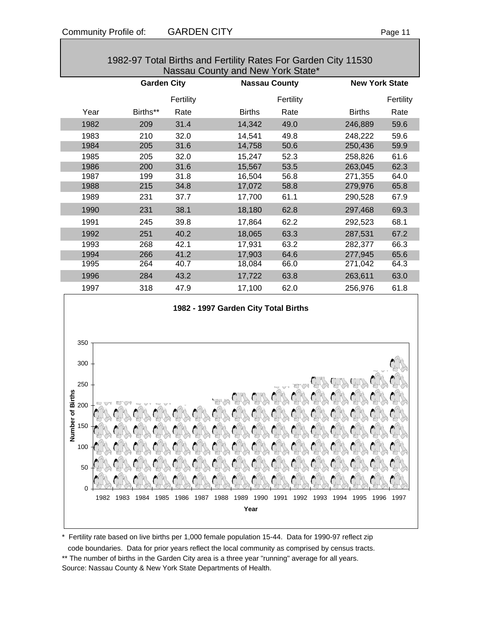| Nassau County and New York State* |                    |           |               |                      |               |                       |  |  |  |  |
|-----------------------------------|--------------------|-----------|---------------|----------------------|---------------|-----------------------|--|--|--|--|
|                                   | <b>Garden City</b> |           |               | <b>Nassau County</b> |               | <b>New York State</b> |  |  |  |  |
|                                   |                    | Fertility |               | Fertility            |               | Fertility             |  |  |  |  |
| Year                              | Births**           | Rate      | <b>Births</b> | Rate                 | <b>Births</b> | Rate                  |  |  |  |  |
| 1982                              | 209                | 31.4      | 14,342        | 49.0                 | 246,889       | 59.6                  |  |  |  |  |
| 1983                              | 210                | 32.0      | 14,541        | 49.8                 | 248,222       | 59.6                  |  |  |  |  |
| 1984                              | 205                | 31.6      | 14,758        | 50.6                 | 250,436       | 59.9                  |  |  |  |  |
| 1985                              | 205                | 32.0      | 15,247        | 52.3                 | 258,826       | 61.6                  |  |  |  |  |
| 1986                              | 200                | 31.6      | 15,567        | 53.5                 | 263,045       | 62.3                  |  |  |  |  |
| 1987                              | 199                | 31.8      | 16,504        | 56.8                 | 271,355       | 64.0                  |  |  |  |  |
| 1988                              | 215                | 34.8      | 17,072        | 58.8                 | 279,976       | 65.8                  |  |  |  |  |
| 1989                              | 231                | 37.7      | 17,700        | 61.1                 | 290,528       | 67.9                  |  |  |  |  |
| 1990                              | 231                | 38.1      | 18,180        | 62.8                 | 297,468       | 69.3                  |  |  |  |  |
| 1991                              | 245                | 39.8      | 17,864        | 62.2                 | 292,523       | 68.1                  |  |  |  |  |
| 1992                              | 251                | 40.2      | 18,065        | 63.3                 | 287,531       | 67.2                  |  |  |  |  |
| 1993                              | 268                | 42.1      | 17,931        | 63.2                 | 282,377       | 66.3                  |  |  |  |  |
| 1994                              | 266                | 41.2      | 17,903        | 64.6                 | 277,945       | 65.6                  |  |  |  |  |
| 1995                              | 264                | 40.7      | 18,084        | 66.0                 | 271,042       | 64.3                  |  |  |  |  |
| 1996                              | 284                | 43.2      | 17,722        | 63.8                 | 263,611       | 63.0                  |  |  |  |  |
| 1997                              | 318                | 47.9      | 17,100        | 62.0                 | 256,976       | 61.8                  |  |  |  |  |

# 1982-97 Total Births and Fertility Rates For Garden City 11530



\* Fertility rate based on live births per 1,000 female population 15-44. Data for 1990-97 reflect zip code boundaries. Data for prior years reflect the local community as comprised by census tracts. \*\* The number of births in the Garden City area is a three year "running" average for all years. Source: Nassau County & New York State Departments of Health.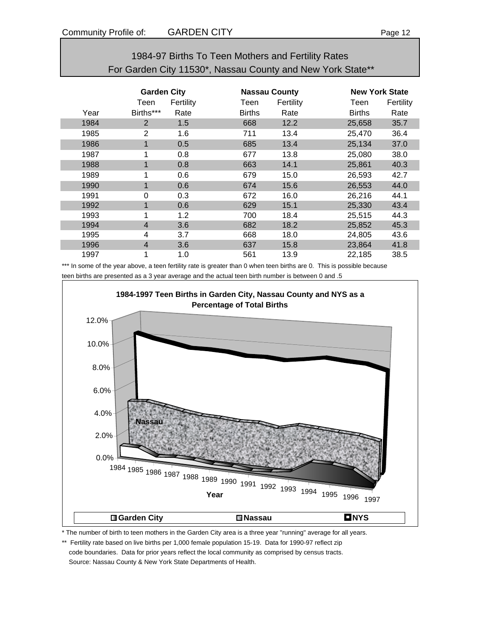| 1984-97 Births To Teen Mothers and Fertility Rates         |
|------------------------------------------------------------|
| For Garden City 11530*, Nassau County and New York State** |

|      | <b>Garden City</b> |           |               | <b>Nassau County</b> |               | <b>New York State</b> |  |
|------|--------------------|-----------|---------------|----------------------|---------------|-----------------------|--|
|      | Teen               | Fertility | Teen          | Fertility            | Teen          | Fertility             |  |
| Year | Births***          | Rate      | <b>Births</b> | Rate                 | <b>Births</b> | Rate                  |  |
| 1984 | $\overline{2}$     | 1.5       | 668           | 12.2                 | 25,658        | 35.7                  |  |
| 1985 | $\overline{2}$     | 1.6       | 711           | 13.4                 | 25,470        | 36.4                  |  |
| 1986 | $\mathbf 1$        | 0.5       | 685           | 13.4                 | 25,134        | 37.0                  |  |
| 1987 |                    | 0.8       | 677           | 13.8                 | 25,080        | 38.0                  |  |
| 1988 | $\mathbf{1}$       | 0.8       | 663           | 14.1                 | 25,861        | 40.3                  |  |
| 1989 |                    | 0.6       | 679           | 15.0                 | 26,593        | 42.7                  |  |
| 1990 |                    | 0.6       | 674           | 15.6                 | 26,553        | 44.0                  |  |
| 1991 | 0                  | 0.3       | 672           | 16.0                 | 26,216        | 44.1                  |  |
| 1992 | 1                  | 0.6       | 629           | 15.1                 | 25,330        | 43.4                  |  |
| 1993 |                    | 1.2       | 700           | 18.4                 | 25,515        | 44.3                  |  |
| 1994 | $\overline{4}$     | 3.6       | 682           | 18.2                 | 25,852        | 45.3                  |  |
| 1995 | 4                  | 3.7       | 668           | 18.0                 | 24,805        | 43.6                  |  |
| 1996 | $\overline{4}$     | 3.6       | 637           | 15.8                 | 23,864        | 41.8                  |  |
| 1997 |                    | 1.0       | 561           | 13.9                 | 22,185        | 38.5                  |  |

\*\*\* In some of the year above, a teen fertility rate is greater than 0 when teen births are 0. This is possible because teen births are presented as a 3 year average and the actual teen birth number is between 0 and .5



\* The number of birth to teen mothers in the Garden City area is a three year "running" average for all years.

\*\* Fertility rate based on live births per 1,000 female population 15-19. Data for 1990-97 reflect zip code boundaries. Data for prior years reflect the local community as comprised by census tracts. Source: Nassau County & New York State Departments of Health.